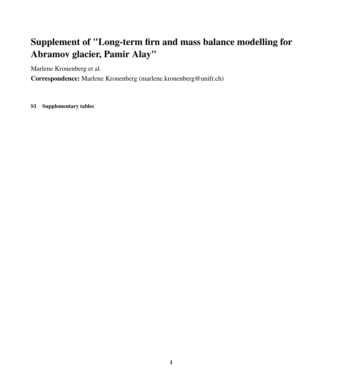## Supplement of "Long-term firn and mass balance modelling for Abramov glacier, Pamir Alay"

Marlene Kronenberg et al.

Correspondence: Marlene Kronenberg (marlene.kronenberg@unifr.ch)

S1 Supplementary tables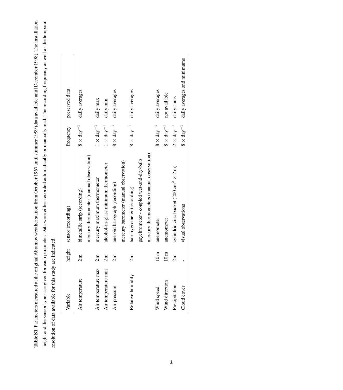Table S1. Parameters measured at the original Abramov weather station from October 1967 until summer 1999 (data available until December 1998). The installation height and the sensor types are given for each parameter. Data were either recorded automatically or manually read. The recording frequency as well as the temporal Table S1. Parameters measured at the original Abramov weather station from October 1967 until summer 1999 (data available until December 1998). The installation height and the sensor types are given for each parameter. Data were either recorded automatically or manually read. The recording frequency as well as the temporal resolution of data available for this study are indicated. resolution of data available for this study are indicated.

| Variable            | height          | sensor (recording)                                            | frequency                  | preserved data              |
|---------------------|-----------------|---------------------------------------------------------------|----------------------------|-----------------------------|
| Air temperature     | 2m              | bimetallic strip (recording)                                  | $8 \times day^{-1}$        | daily averages              |
|                     |                 | mercury thermometer (manual observation)                      |                            |                             |
| Air temperature max | 2m              | mercury maximum thermometer                                   | $1\times{\rm day}^{-1}$    | daily max                   |
| Air temperature min | 2m              | alcohol-in-glass minimum thermometer                          | $1 \times day^{-1}$        | daily min                   |
| Air pressure        | 2m              | aneroid barograph (recording)                                 | $8 \times day^{-1}$        | daily averages              |
|                     |                 | mercury barometer (manual observation)                        |                            |                             |
| Relative humidity   | 2m              | hair hygrometer (recording)                                   | $8 \times day^{-1}$        | daily averages              |
|                     |                 | psychrometer - coupled wet-and-dry-bulb                       |                            |                             |
|                     |                 | mercury thermometers (manual observation)                     |                            |                             |
| Wind speed          | 10m             | anemometer                                                    | $8\times\mathrm{day}^{-1}$ | daily averages              |
| Wind direction      | 10 <sub>m</sub> | anemometer                                                    | $8\times{\rm day}^{-1}$    | not available               |
| Precipitation       | 2m              | cylindric zinc bucket $(200 \text{ cm}^2 \times 2 \text{ m})$ | $2 \times day^{-1}$        | daily sums                  |
| Cloud cover         |                 | visual observations                                           | $8 \times day^{-1}$        | daily averages and minimums |
|                     |                 |                                                               |                            |                             |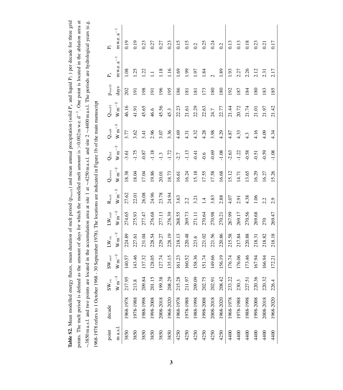|          |                                                                                                                          |                      |                     |                             |                              |                      |                     |                      |                    |                      |                  |                    | points. The melt period is defined as the amount of days for which the modelled melt amount is $>0.002$ m w.e. $d^{-1}$ . One point is located in the ablation area at |
|----------|--------------------------------------------------------------------------------------------------------------------------|----------------------|---------------------|-----------------------------|------------------------------|----------------------|---------------------|----------------------|--------------------|----------------------|------------------|--------------------|------------------------------------------------------------------------------------------------------------------------------------------------------------------------|
|          |                                                                                                                          |                      |                     |                             |                              |                      |                     |                      |                    |                      |                  |                    | ~3850 m a.s.l. and two points are located in the accumulation area at site 1 at ~4250 m a.s.l. and site 2 ~4400 m a.s.l. The periods are hydrological years (e.g.      |
|          | 1968-1978 refers to 1 October 1968 - 30 September 1978). The locations are indicated in Figure 1b of the main manuscript |                      |                     |                             |                              |                      |                     |                      |                    |                      |                  |                    |                                                                                                                                                                        |
| point    | decade                                                                                                                   | $\mathrm{SW}_{in}$   | $\mathbf{SW}_{out}$ | $\mathbf{L}\mathbf{W}_{in}$ | $\mathbf{L}\mathbf{W}_{out}$ | $\mathbf{R}_{net}$   | $\mathbf{Q}_{sens}$ | $\mathbf{Q}_{lat}$   | $\mathrm{Q}_{sub}$ | $\mathbf{Q}_{melt}$  | $p_{melt}$       | P.                 | $\mathbf{P}_l$                                                                                                                                                         |
| m a.s.l. |                                                                                                                          | $\mathrm{W\,m}^{-2}$ | $\hbox{W\,m}^{-2}$  | $\mathrm{W\,m}^{-2}$        | $\hbox{W\,m}^{-2}$           | $\mathrm{W\,m}^{-2}$ | $\hbox{W\,m}^{-2}$  | $\mathrm{W\,m}^{-2}$ | $\hbox{W\,m}^{-2}$ | $\mathrm{W\,m}^{-2}$ | days             | $a^{-1}$<br>m w.e. | $a^{-1}$<br>m w.e.                                                                                                                                                     |
| 3850     | 1968-1978                                                                                                                | 217.95               | 140.57              | 224.89                      | 274.65                       | 27.62                | 18.38               | $-3.61$              | 3.77               | 46.16                | 202              | 1.08               | 0.19                                                                                                                                                                   |
| 3850     | 1978-1988                                                                                                                | 213.8                | 143.46              | 227.61                      | 275.93                       | 22.01                | 18.04               | $-1.75$              | 3.62               | 41.91                | $\overline{191}$ | 1.25               | 0.19                                                                                                                                                                   |
| 3850     | 1988-1998                                                                                                                | 209.84               | 137.32              | 231.04                      | 277.47                       | 26.08                | 17.04               | $-0.87$              | 3.41               | 45.65                | 198              | 1.22               | 0.23                                                                                                                                                                   |
| 3850     | 1998-2008                                                                                                                | 201.15               | 128.05              | 228.54                      | 276.68                       | 24.96                | 19.86               | $-1.18$              | 2.96               | 46.6                 | $\overline{9}$   | Ξ                  | 0.27                                                                                                                                                                   |
| 3850     | 2008-2018                                                                                                                | 199.38               | 127.74              | 229.27                      | 277.13                       | 23.78                | 20.01               | $-1.3$               | 3.07               | 45.56                | 196              | 1.18               | 0.27                                                                                                                                                                   |
| 3850     | 1968-2020                                                                                                                | 208.29               | 135.15              | 228.19                      | 276.39                       | 24.94                | 18.73               | $-1.72$              | 3.36               | 45.3                 | 195              | 1.16               | 0.23                                                                                                                                                                   |
| 4250     | 1968-1978                                                                                                                | 215.28               | 161.23              | 218.13                      | 268.55                       | 3.63                 | 16.61               | $-2.7$               | 4.69               | 22.23                | 186              | 1.69               | 0.15                                                                                                                                                                   |
| 4250     | 1978-1988                                                                                                                | 211.97               | 160.52              | 220.48                      | 269.73                       | 2.2                  | 16.24               | $-1.13$              | 4.31               | 21.61                | 181              | 1.99               | 0.15                                                                                                                                                                   |
| 4250     | 1988-1998                                                                                                                | 209.09               | 158.36              | 223.6                       | 271.11                       | 3.21                 | 15.18               | $-0.41$              | 4.32               | 22.29                | $\overline{181}$ | 1.97               | 0.2                                                                                                                                                                    |
| 4250     | 1998-2008                                                                                                                | 202.75               | 51.74               | 221.02                      | 270.64                       | $\overline{4}$       | 17.55               | $-0.6$               | 4.28               | 22.63                | 173              | 1.84               | 0.25                                                                                                                                                                   |
| 4250     | 2008-2018                                                                                                                | 202.91               | 149.66              | 221.56                      | 270.98                       | 3.83                 | 17.58               | $-0.69$              | 3.98               | 24.7                 | 180              |                    | 0.24                                                                                                                                                                   |
| 4250     | 1968-2020                                                                                                                | 208.42               | 56.19               | 220.86                      | 270.21                       | 2.88                 | 16.68               | $-1.08$              | 4.29               | 22.77                | 180              | 1.89               | 0.2                                                                                                                                                                    |
| 4400     | 1968-1978                                                                                                                | 233.22               | 176.74              | 215.58                      | 267.99                       | 4.07                 | 15.12               | $-2.63$              | 4.87               | 21.44                | 192              | 1.93               | 0.13                                                                                                                                                                   |
| 4400     | 1978-1988                                                                                                                | 230.3                | 176.06              | 217.84                      | 269.17                       | 2.91                 | 14.71               | $-1.22$              | 4.33               | 20.72                | 187              | 2.27               | 0.13                                                                                                                                                                   |
| 4400     | 1988-1998                                                                                                                | 227.51               | 173.46              | 220.88                      | 270.56                       | 4.38                 | 13.65               | $-0.58$              | 4.3                | 21.74                | 184              | 2.26               | 0.18                                                                                                                                                                   |
| 4400     | 1998-2008                                                                                                                | 220.36               | 167.94              | 218.31                      | 269.68                       | 1.06                 | 16.29               | $-0.51$              | 4.16               | 21.01                | 180              | 2.12               | 0.23                                                                                                                                                                   |

4400 2008-2018 220.32 166.94 218.82 270 2.2 16.27 -0.59 4.09 21.97 183 2.31 0.21 4400 1968-2020 226.4 172.21 218.18 269.47 2.9 15.26 -1.08 4.34 21.42 185 2.17 0.17

270

218.82 218.18

166.94 172.21

220.32

2008-2018 1968-2020

4400 4400

226.4

 $2.2$ <br> $2.9$ 

269.47

16.27 15.26

 $0.17$ 0.21

2.17 2.31

183 185

21.97 21.42

4.09 4.34

 $-0.59$  $-1.08$ 

Table S2. Mean modelled energy fluxes, mean duration of melt period (p<sub>mett</sub>) and mean annual precipitation (solid P<sub>s</sub> and liquid P<sub>l</sub>) per decade for three grid

Table S2. Mean modelled energy fluxes, mean duration of melt period ( $p_{mett}$ ) and mean annual precipitation (solid P<sub>8</sub> and liquid P<sub>1</sub>) per decade for three grid

3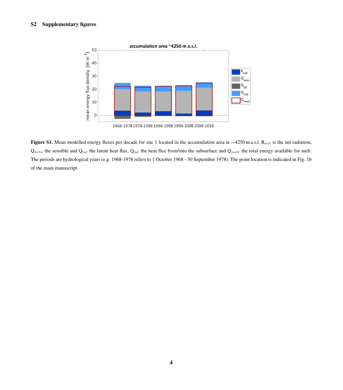

Figure S1. Mean modelled energy fluxes per decade for site 1 located in the accumulation area at  $\sim$ 4250 m a.s.l. R<sub>net</sub> is the net radiation,  $Q_{sens}$  the sensible and  $Q_{lat}$  the latent heat flux,  $Q_{lat}$  the heat flux from/into the subsurface and  $Q_{melt}$  the total energy available for melt. The periods are hydrological years (e.g. 1968-1978 refers to 1 October 1968 - 30 September 1978). The point location is indicated in Fig. 1b of the main manuscript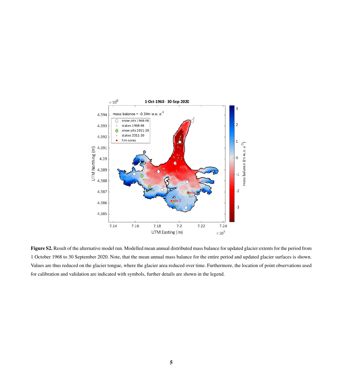

Figure S2. Result of the alternative model run. Modelled mean annual distributed mass balance for updated glacier extents for the period from 1 October 1968 to 30 September 2020. Note, that the mean annual mass balance for the entire period and updated glacier surfaces is shown. Values are thus reduced on the glacier tongue, where the glacier area reduced over time. Furthermore, the location of point observations used for calibration and validation are indicated with symbols, further details are shown in the legend.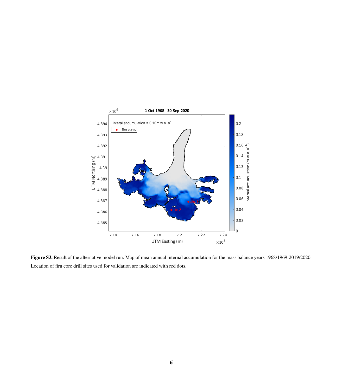

Figure S3. Result of the alternative model run. Map of mean annual internal accumulation for the mass balance years 1968/1969-2019/2020. Location of firn core drill sites used for validation are indicated with red dots.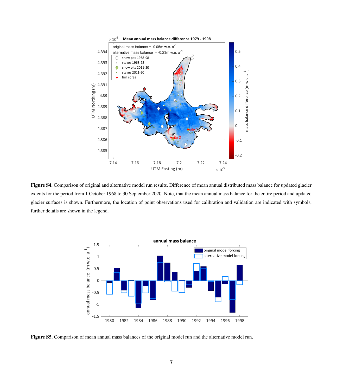

Figure S4. Comparison of original and alternative model run results. Difference of mean annual distributed mass balance for updated glacier extents for the period from 1 October 1968 to 30 September 2020. Note, that the mean annual mass balance for the entire period and updated glacier surfaces is shown. Furthermore, the location of point observations used for calibration and validation are indicated with symbols, further details are shown in the legend.



Figure S5. Comparison of mean annual mass balances of the original model run and the alternative model run.